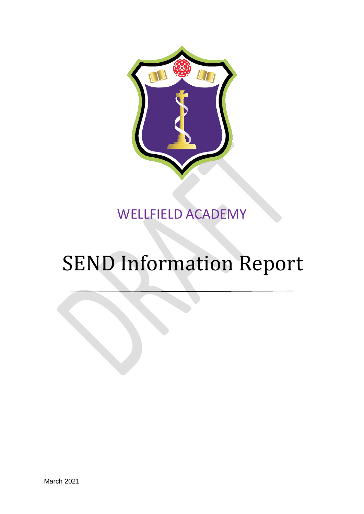

# WELLFIELD ACADEMY

# SEND Information Report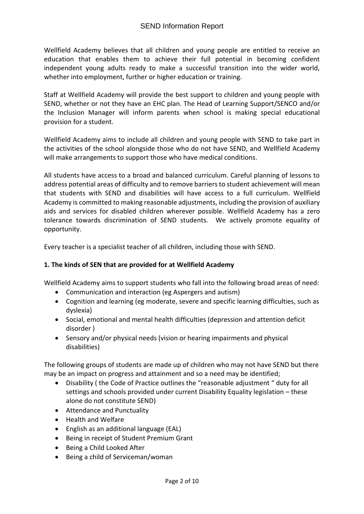Wellfield Academy believes that all children and young people are entitled to receive an education that enables them to achieve their full potential in becoming confident independent young adults ready to make a successful transition into the wider world, whether into employment, further or higher education or training.

Staff at Wellfield Academy will provide the best support to children and young people with SEND, whether or not they have an EHC plan. The Head of Learning Support/SENCO and/or the Inclusion Manager will inform parents when school is making special educational provision for a student.

Wellfield Academy aims to include all children and young people with SEND to take part in the activities of the school alongside those who do not have SEND, and Wellfield Academy will make arrangements to support those who have medical conditions.

All students have access to a broad and balanced curriculum. Careful planning of lessons to address potential areas of difficulty and to remove barriers to student achievement will mean that students with SEND and disabilities will have access to a full curriculum. Wellfield Academy is committed to making reasonable adjustments, including the provision of auxiliary aids and services for disabled children wherever possible. Wellfield Academy has a zero tolerance towards discrimination of SEND students. We actively promote equality of opportunity.

Every teacher is a specialist teacher of all children, including those with SEND.

#### **1. The kinds of SEN that are provided for at Wellfield Academy**

Wellfield Academy aims to support students who fall into the following broad areas of need:

- Communication and interaction (eg Aspergers and autism)
- Cognition and learning (eg moderate, severe and specific learning difficulties, such as dyslexia)
- Social, emotional and mental health difficulties (depression and attention deficit disorder )
- Sensory and/or physical needs (vision or hearing impairments and physical disabilities)

The following groups of students are made up of children who may not have SEND but there may be an impact on progress and attainment and so a need may be identified;

- Disability ( the Code of Practice outlines the "reasonable adjustment " duty for all settings and schools provided under current Disability Equality legislation – these alone do not constitute SEND)
- Attendance and Punctuality
- Health and Welfare
- English as an additional language (EAL)
- Being in receipt of Student Premium Grant
- Being a Child Looked After
- Being a child of Serviceman/woman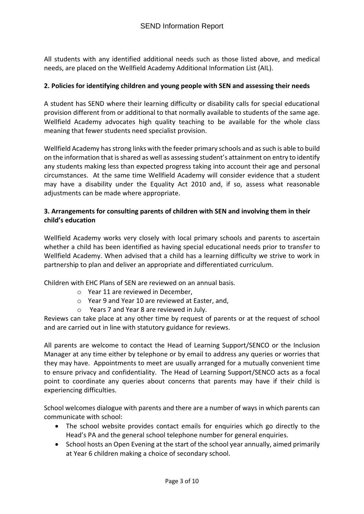All students with any identified additional needs such as those listed above, and medical needs, are placed on the Wellfield Academy Additional Information List (AIL).

#### **2. Policies for identifying children and young people with SEN and assessing their needs**

A student has SEND where their learning difficulty or disability calls for special educational provision different from or additional to that normally available to students of the same age. Wellfield Academy advocates high quality teaching to be available for the whole class meaning that fewer students need specialist provision.

Wellfield Academy has strong links with the feeder primary schools and as such is able to build on the information that is shared as well as assessing student's attainment on entry to identify any students making less than expected progress taking into account their age and personal circumstances. At the same time Wellfield Academy will consider evidence that a student may have a disability under the Equality Act 2010 and, if so, assess what reasonable adjustments can be made where appropriate.

#### **3. Arrangements for consulting parents of children with SEN and involving them in their child's education**

Wellfield Academy works very closely with local primary schools and parents to ascertain whether a child has been identified as having special educational needs prior to transfer to Wellfield Academy. When advised that a child has a learning difficulty we strive to work in partnership to plan and deliver an appropriate and differentiated curriculum.

Children with EHC Plans of SEN are reviewed on an annual basis.

- o Year 11 are reviewed in December,
- o Year 9 and Year 10 are reviewed at Easter, and,
- o Years 7 and Year 8 are reviewed in July.

Reviews can take place at any other time by request of parents or at the request of school and are carried out in line with statutory guidance for reviews.

All parents are welcome to contact the Head of Learning Support/SENCO or the Inclusion Manager at any time either by telephone or by email to address any queries or worries that they may have. Appointments to meet are usually arranged for a mutually convenient time to ensure privacy and confidentiality. The Head of Learning Support/SENCO acts as a focal point to coordinate any queries about concerns that parents may have if their child is experiencing difficulties.

School welcomes dialogue with parents and there are a number of ways in which parents can communicate with school:

- The school website provides contact emails for enquiries which go directly to the Head's PA and the general school telephone number for general enquiries.
- School hosts an Open Evening at the start of the school year annually, aimed primarily at Year 6 children making a choice of secondary school.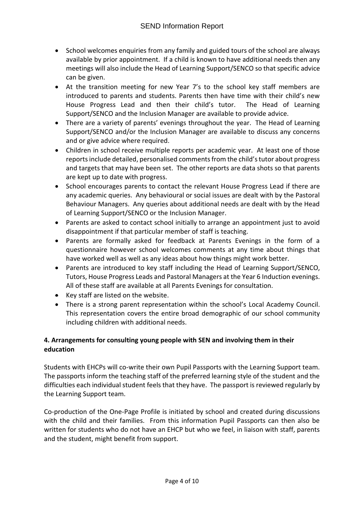- School welcomes enquiries from any family and guided tours of the school are always available by prior appointment. If a child is known to have additional needs then any meetings will also include the Head of Learning Support/SENCO so that specific advice can be given.
- At the transition meeting for new Year 7's to the school key staff members are introduced to parents and students. Parents then have time with their child's new House Progress Lead and then their child's tutor. The Head of Learning Support/SENCO and the Inclusion Manager are available to provide advice.
- There are a variety of parents' evenings throughout the year. The Head of Learning Support/SENCO and/or the Inclusion Manager are available to discuss any concerns and or give advice where required.
- Children in school receive multiple reports per academic year. At least one of those reports include detailed, personalised comments from the child's tutor about progress and targets that may have been set. The other reports are data shots so that parents are kept up to date with progress.
- School encourages parents to contact the relevant House Progress Lead if there are any academic queries. Any behavioural or social issues are dealt with by the Pastoral Behaviour Managers. Any queries about additional needs are dealt with by the Head of Learning Support/SENCO or the Inclusion Manager.
- Parents are asked to contact school initially to arrange an appointment just to avoid disappointment if that particular member of staff is teaching.
- Parents are formally asked for feedback at Parents Evenings in the form of a questionnaire however school welcomes comments at any time about things that have worked well as well as any ideas about how things might work better.
- Parents are introduced to key staff including the Head of Learning Support/SENCO, Tutors, House Progress Leads and Pastoral Managers at the Year 6 Induction evenings. All of these staff are available at all Parents Evenings for consultation.
- Key staff are listed on the website.
- There is a strong parent representation within the school's Local Academy Council. This representation covers the entire broad demographic of our school community including children with additional needs.

## **4. Arrangements for consulting young people with SEN and involving them in their education**

Students with EHCPs will co-write their own Pupil Passports with the Learning Support team. The passports inform the teaching staff of the preferred learning style of the student and the difficulties each individual student feels that they have. The passport is reviewed regularly by the Learning Support team.

Co-production of the One-Page Profile is initiated by school and created during discussions with the child and their families. From this information Pupil Passports can then also be written for students who do not have an EHCP but who we feel, in liaison with staff, parents and the student, might benefit from support.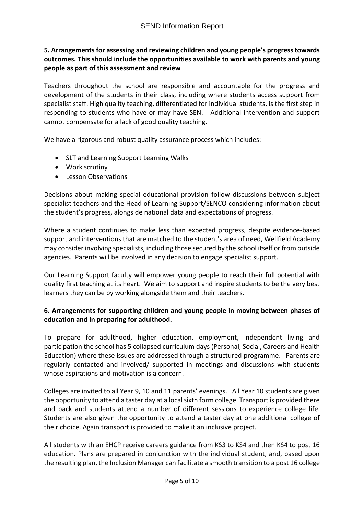#### **5. Arrangements for assessing and reviewing children and young people's progress towards outcomes. This should include the opportunities available to work with parents and young people as part of this assessment and review**

Teachers throughout the school are responsible and accountable for the progress and development of the students in their class, including where students access support from specialist staff. High quality teaching, differentiated for individual students, is the first step in responding to students who have or may have SEN. Additional intervention and support cannot compensate for a lack of good quality teaching.

We have a rigorous and robust quality assurance process which includes:

- SLT and Learning Support Learning Walks
- Work scrutiny
- Lesson Observations

Decisions about making special educational provision follow discussions between subject specialist teachers and the Head of Learning Support/SENCO considering information about the student's progress, alongside national data and expectations of progress.

Where a student continues to make less than expected progress, despite evidence-based support and interventions that are matched to the student's area of need, Wellfield Academy may consider involving specialists, including those secured by the school itself or from outside agencies. Parents will be involved in any decision to engage specialist support.

Our Learning Support faculty will empower young people to reach their full potential with quality first teaching at its heart. We aim to support and inspire students to be the very best learners they can be by working alongside them and their teachers.

#### **6. Arrangements for supporting children and young people in moving between phases of education and in preparing for adulthood.**

To prepare for adulthood, higher education, employment, independent living and participation the school has 5 collapsed curriculum days (Personal, Social, Careers and Health Education) where these issues are addressed through a structured programme. Parents are regularly contacted and involved/ supported in meetings and discussions with students whose aspirations and motivation is a concern.

Colleges are invited to all Year 9, 10 and 11 parents' evenings. All Year 10 students are given the opportunity to attend a taster day at a local sixth form college. Transport is provided there and back and students attend a number of different sessions to experience college life. Students are also given the opportunity to attend a taster day at one additional college of their choice. Again transport is provided to make it an inclusive project.

All students with an EHCP receive careers guidance from KS3 to KS4 and then KS4 to post 16 education. Plans are prepared in conjunction with the individual student, and, based upon the resulting plan, the Inclusion Manager can facilitate a smooth transition to a post 16 college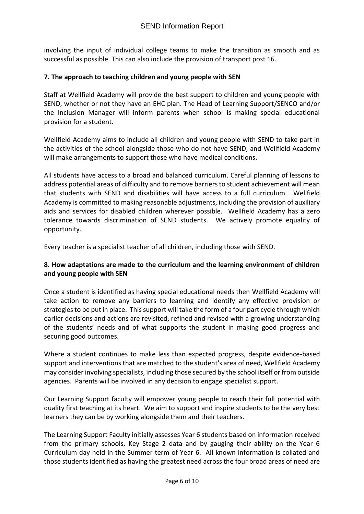involving the input of individual college teams to make the transition as smooth and as successful as possible. This can also include the provision of transport post 16.

#### **7. The approach to teaching children and young people with SEN**

Staff at Wellfield Academy will provide the best support to children and young people with SEND, whether or not they have an EHC plan. The Head of Learning Support/SENCO and/or the Inclusion Manager will inform parents when school is making special educational provision for a student.

Wellfield Academy aims to include all children and young people with SEND to take part in the activities of the school alongside those who do not have SEND, and Wellfield Academy will make arrangements to support those who have medical conditions.

All students have access to a broad and balanced curriculum. Careful planning of lessons to address potential areas of difficulty and to remove barriers to student achievement will mean that students with SEND and disabilities will have access to a full curriculum. Wellfield Academy is committed to making reasonable adjustments, including the provision of auxiliary aids and services for disabled children wherever possible. Wellfield Academy has a zero tolerance towards discrimination of SEND students. We actively promote equality of opportunity.

Every teacher is a specialist teacher of all children, including those with SEND.

#### **8. How adaptations are made to the curriculum and the learning environment of children and young people with SEN**

Once a student is identified as having special educational needs then Wellfield Academy will take action to remove any barriers to learning and identify any effective provision or strategies to be put in place. This support will take the form of a four part cycle through which earlier decisions and actions are revisited, refined and revised with a growing understanding of the students' needs and of what supports the student in making good progress and securing good outcomes.

Where a student continues to make less than expected progress, despite evidence-based support and interventions that are matched to the student's area of need, Wellfield Academy may consider involving specialists, including those secured by the school itself or from outside agencies. Parents will be involved in any decision to engage specialist support.

Our Learning Support faculty will empower young people to reach their full potential with quality first teaching at its heart. We aim to support and inspire students to be the very best learners they can be by working alongside them and their teachers.

The Learning Support Faculty initially assesses Year 6 students based on information received from the primary schools, Key Stage 2 data and by gauging their ability on the Year 6 Curriculum day held in the Summer term of Year 6. All known information is collated and those students identified as having the greatest need across the four broad areas of need are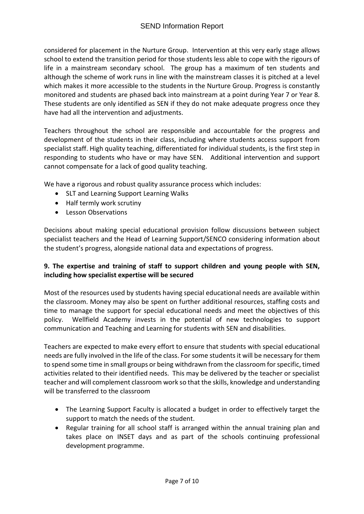considered for placement in the Nurture Group. Intervention at this very early stage allows school to extend the transition period for those students less able to cope with the rigours of life in a mainstream secondary school. The group has a maximum of ten students and although the scheme of work runs in line with the mainstream classes it is pitched at a level which makes it more accessible to the students in the Nurture Group. Progress is constantly monitored and students are phased back into mainstream at a point during Year 7 or Year 8. These students are only identified as SEN if they do not make adequate progress once they have had all the intervention and adjustments.

Teachers throughout the school are responsible and accountable for the progress and development of the students in their class, including where students access support from specialist staff. High quality teaching, differentiated for individual students, is the first step in responding to students who have or may have SEN. Additional intervention and support cannot compensate for a lack of good quality teaching.

We have a rigorous and robust quality assurance process which includes:

- SLT and Learning Support Learning Walks
- Half termly work scrutiny
- Lesson Observations

Decisions about making special educational provision follow discussions between subject specialist teachers and the Head of Learning Support/SENCO considering information about the student's progress, alongside national data and expectations of progress.

#### **9. The expertise and training of staff to support children and young people with SEN, including how specialist expertise will be secured**

Most of the resources used by students having special educational needs are available within the classroom. Money may also be spent on further additional resources, staffing costs and time to manage the support for special educational needs and meet the objectives of this policy. Wellfield Academy invests in the potential of new technologies to support communication and Teaching and Learning for students with SEN and disabilities.

Teachers are expected to make every effort to ensure that students with special educational needs are fully involved in the life of the class. For some students it will be necessary for them to spend some time in small groups or being withdrawn from the classroom for specific, timed activities related to their identified needs. This may be delivered by the teacher or specialist teacher and will complement classroom work so that the skills, knowledge and understanding will be transferred to the classroom

- The Learning Support Faculty is allocated a budget in order to effectively target the support to match the needs of the student.
- Regular training for all school staff is arranged within the annual training plan and takes place on INSET days and as part of the schools continuing professional development programme.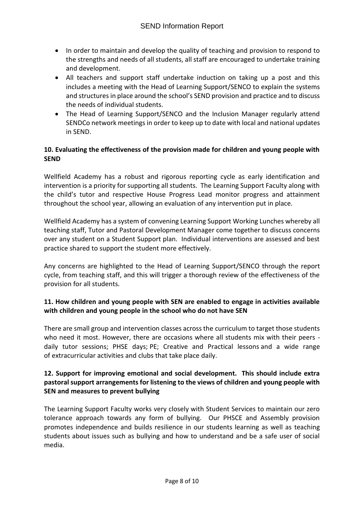- In order to maintain and develop the quality of teaching and provision to respond to the strengths and needs of all students, all staff are encouraged to undertake training and development.
- All teachers and support staff undertake induction on taking up a post and this includes a meeting with the Head of Learning Support/SENCO to explain the systems and structures in place around the school's SEND provision and practice and to discuss the needs of individual students.
- The Head of Learning Support/SENCO and the Inclusion Manager regularly attend SENDCo network meetings in order to keep up to date with local and national updates in SEND.

#### **10. Evaluating the effectiveness of the provision made for children and young people with SEND**

Wellfield Academy has a robust and rigorous reporting cycle as early identification and intervention is a priority for supporting all students. The Learning Support Faculty along with the child's tutor and respective House Progress Lead monitor progress and attainment throughout the school year, allowing an evaluation of any intervention put in place.

Wellfield Academy has a system of convening Learning Support Working Lunches whereby all teaching staff, Tutor and Pastoral Development Manager come together to discuss concerns over any student on a Student Support plan. Individual interventions are assessed and best practice shared to support the student more effectively.

Any concerns are highlighted to the Head of Learning Support/SENCO through the report cycle, from teaching staff, and this will trigger a thorough review of the effectiveness of the provision for all students.

#### **11. How children and young people with SEN are enabled to engage in activities available with children and young people in the school who do not have SEN**

There are small group and intervention classes across the curriculum to target those students who need it most. However, there are occasions where all students mix with their peers daily tutor sessions; PHSE days; PE; Creative and Practical lessons and a wide range of extracurricular activities and clubs that take place daily.

#### **12. Support for improving emotional and social development. This should include extra pastoral support arrangements for listening to the views of children and young people with SEN and measures to prevent bullying**

The Learning Support Faculty works very closely with Student Services to maintain our zero tolerance approach towards any form of bullying. Our PHSCE and Assembly provision promotes independence and builds resilience in our students learning as well as teaching students about issues such as bullying and how to understand and be a safe user of social media.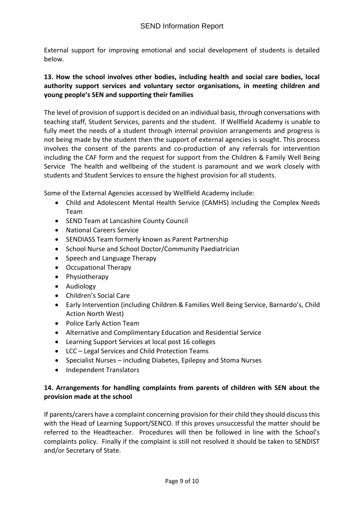External support for improving emotional and social development of students is detailed below.

#### **13. How the school involves other bodies, including health and social care bodies, local authority support services and voluntary sector organisations, in meeting children and young people's SEN and supporting their families**

The level of provision of support is decided on an individual basis, through conversations with teaching staff, Student Services, parents and the student. If Wellfield Academy is unable to fully meet the needs of a student through internal provision arrangements and progress is not being made by the student then the support of external agencies is sought. This process involves the consent of the parents and co-production of any referrals for intervention including the CAF form and the request for support from the Children & Family Well Being Service The health and wellbeing of the student is paramount and we work closely with students and Student Services to ensure the highest provision for all students.

Some of the External Agencies accessed by Wellfield Academy include:

- Child and Adolescent Mental Health Service (CAMHS) including the Complex Needs Team
- SEND Team at Lancashire County Council
- National Careers Service
- SENDIASS Team formerly known as Parent Partnership
- School Nurse and School Doctor/Community Paediatrician
- Speech and Language Therapy
- Occupational Therapy
- Physiotherapy
- Audiology
- Children's Social Care
- Early Intervention (including Children & Families Well Being Service, Barnardo's, Child Action North West)
- Police Early Action Team
- Alternative and Complimentary Education and Residential Service
- Learning Support Services at local post 16 colleges
- LCC Legal Services and Child Protection Teams
- Specialist Nurses including Diabetes, Epilepsy and Stoma Nurses
- Independent Translators

## **14. Arrangements for handling complaints from parents of children with SEN about the provision made at the school**

If parents/carers have a complaint concerning provision for their child they should discuss this with the Head of Learning Support/SENCO. If this proves unsuccessful the matter should be referred to the Headteacher. Procedures will then be followed in line with the School's complaints policy. Finally if the complaint is still not resolved it should be taken to SENDIST and/or Secretary of State.